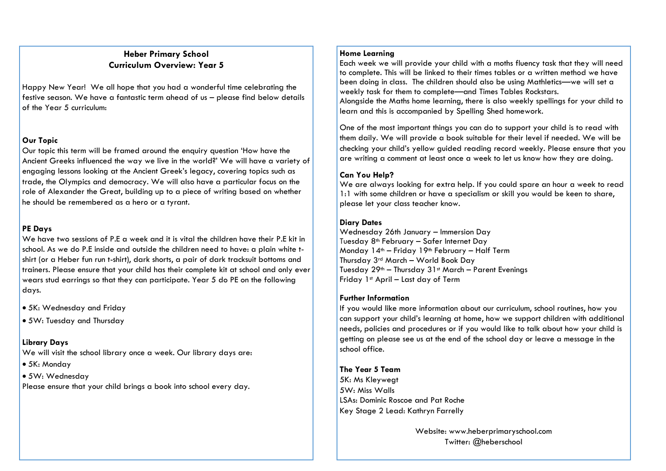# **Heber Primary School Curriculum Overview: Year 5**

Happy New Year! We all hope that you had a wonderful time celebrating the festive season. We have a fantastic term ahead of us – please find below details of the Year 5 curriculum:

#### **Our Topic**

Our topic this term will be framed around the enquiry question 'How have the Ancient Greeks influenced the way we live in the world?' We will have a variety of engaging lessons looking at the Ancient Greek's legacy, covering topics such as trade, the Olympics and democracy. We will also have a particular focus on the role of Alexander the Great, building up to a piece of writing based on whether he should be remembered as a hero or a tyrant.

# **PE Days**

We have two sessions of P.E a week and it is vital the children have their P.E kit in school. As we do P.E inside and outside the children need to have: a plain white tshirt (or a Heber fun run t-shirt), dark shorts, a pair of dark tracksuit bottoms and trainers. Please ensure that your child has their complete kit at school and only ever wears stud earrings so that they can participate. Year 5 do PE on the following days.

- 5K: Wednesday and Friday
- 5W: Tuesday and Thursday

# **Library Days**

We will visit the school library once a week. Our library days are:

- 5K: Monday
- 5W: Wednesday

Please ensure that your child brings a book into school every day.

#### **Home Learning**

Each week we will provide your child with a moths fluency task that they will need to complete. This will be linked to their times tables or a written method we have been doing in class. The children should also be using Mathletics—we will set a weekly task for them to complete—and Times Tables Rockstars. Alongside the Maths home learning, there is also weekly spellings for your child to learn and this is accompanied by Spelling Shed homework.

One of the most important things you can do to support your child is to read with them daily. We will provide a book suitable for their level if needed. We will be checking your child's yellow guided reading record weekly. Please ensure that you are writing a comment at least once a week to let us know how they are doing.

# **Can You Help?**

We are always looking for extra help. If you could spare an hour a week to read 1:1 with some children or have a specialism or skill you would be keen to share, please let your class teacher know.

# **Diary Dates**

Wednesday 26th January – Immersion Day Tuesday 8th February – Safer Internet Day Monday 14th – Friday 19th February – Half Term Thursday 3rd March – World Book Day Tuesday 29th – Thursday 31st March – Parent Evenings Friday 1st April – Last day of Term

# **Further Information**

If you would like more information about our curriculum, school routines, how you can support your child's learning at home, how we support children with additional needs, policies and procedures or if you would like to talk about how your child is getting on please see us at the end of the school day or leave a message in the school office.

# **The Year 5 Team**

5K: Ms Kleywegt 5W: Miss Walls LSAs: Dominic Roscoe and Pat Roche Key Stage 2 Lead: Kathryn Farrelly

> Website: www.heberprimaryschool.com Twitter: @heberschool